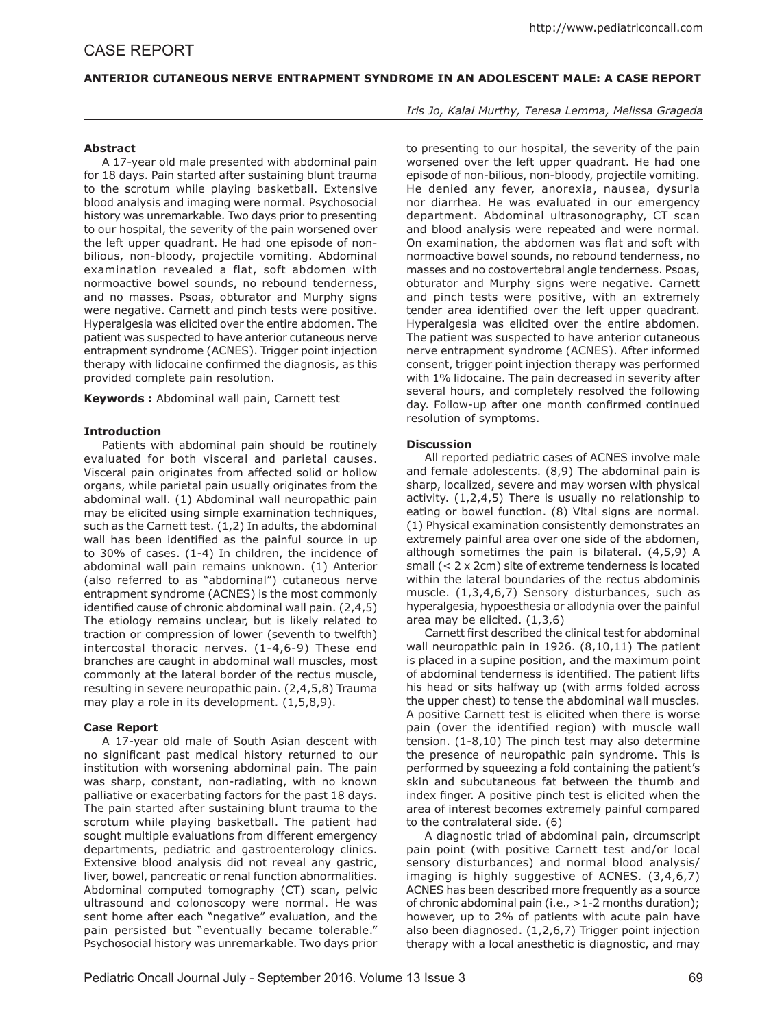# **ANTERIOR CUTANEOUS NERVE ENTRAPMENT SYNDROME IN AN ADOLESCENT MALE: A CASE REPORT**

## **Abstract**

A 17-year old male presented with abdominal pain for 18 days. Pain started after sustaining blunt trauma to the scrotum while playing basketball. Extensive blood analysis and imaging were normal. Psychosocial history was unremarkable. Two days prior to presenting to our hospital, the severity of the pain worsened over the left upper quadrant. He had one episode of nonbilious, non-bloody, projectile vomiting. Abdominal examination revealed a flat, soft abdomen with normoactive bowel sounds, no rebound tenderness, and no masses. Psoas, obturator and Murphy signs were negative. Carnett and pinch tests were positive. Hyperalgesia was elicited over the entire abdomen. The patient was suspected to have anterior cutaneous nerve entrapment syndrome (ACNES). Trigger point injection therapy with lidocaine confirmed the diagnosis, as this provided complete pain resolution.

**Keywords :** Abdominal wall pain, Carnett test

### **Introduction**

Patients with abdominal pain should be routinely evaluated for both visceral and parietal causes. Visceral pain originates from affected solid or hollow organs, while parietal pain usually originates from the abdominal wall. (1) Abdominal wall neuropathic pain may be elicited using simple examination techniques, such as the Carnett test. (1,2) In adults, the abdominal wall has been identified as the painful source in up to 30% of cases. (1-4) In children, the incidence of abdominal wall pain remains unknown. (1) Anterior (also referred to as "abdominal") cutaneous nerve entrapment syndrome (ACNES) is the most commonly identified cause of chronic abdominal wall pain. (2,4,5) The etiology remains unclear, but is likely related to traction or compression of lower (seventh to twelfth) intercostal thoracic nerves. (1-4,6-9) These end branches are caught in abdominal wall muscles, most commonly at the lateral border of the rectus muscle, resulting in severe neuropathic pain. (2,4,5,8) Trauma may play a role in its development. (1,5,8,9).

# **Case Report**

A 17-year old male of South Asian descent with no significant past medical history returned to our institution with worsening abdominal pain. The pain was sharp, constant, non-radiating, with no known palliative or exacerbating factors for the past 18 days. The pain started after sustaining blunt trauma to the scrotum while playing basketball. The patient had sought multiple evaluations from different emergency departments, pediatric and gastroenterology clinics. Extensive blood analysis did not reveal any gastric, liver, bowel, pancreatic or renal function abnormalities. Abdominal computed tomography (CT) scan, pelvic ultrasound and colonoscopy were normal. He was sent home after each "negative" evaluation, and the pain persisted but "eventually became tolerable." Psychosocial history was unremarkable. Two days prior

### *Iris Jo, Kalai Murthy, Teresa Lemma, Melissa Grageda*

to presenting to our hospital, the severity of the pain worsened over the left upper quadrant. He had one episode of non-bilious, non-bloody, projectile vomiting. He denied any fever, anorexia, nausea, dysuria nor diarrhea. He was evaluated in our emergency department. Abdominal ultrasonography, CT scan and blood analysis were repeated and were normal. On examination, the abdomen was flat and soft with normoactive bowel sounds, no rebound tenderness, no masses and no costovertebral angle tenderness. Psoas, obturator and Murphy signs were negative. Carnett and pinch tests were positive, with an extremely tender area identified over the left upper quadrant. Hyperalgesia was elicited over the entire abdomen. The patient was suspected to have anterior cutaneous nerve entrapment syndrome (ACNES). After informed consent, trigger point injection therapy was performed with 1% lidocaine. The pain decreased in severity after several hours, and completely resolved the following day. Follow-up after one month confirmed continued resolution of symptoms.

### **Discussion**

All reported pediatric cases of ACNES involve male and female adolescents. (8,9) The abdominal pain is sharp, localized, severe and may worsen with physical activity. (1,2,4,5) There is usually no relationship to eating or bowel function. (8) Vital signs are normal. (1) Physical examination consistently demonstrates an extremely painful area over one side of the abdomen, although sometimes the pain is bilateral. (4,5,9) A small (< 2 x 2cm) site of extreme tenderness is located within the lateral boundaries of the rectus abdominis muscle. (1,3,4,6,7) Sensory disturbances, such as hyperalgesia, hypoesthesia or allodynia over the painful area may be elicited. (1,3,6)

Carnett first described the clinical test for abdominal wall neuropathic pain in 1926. (8,10,11) The patient is placed in a supine position, and the maximum point of abdominal tenderness is identified. The patient lifts his head or sits halfway up (with arms folded across the upper chest) to tense the abdominal wall muscles. A positive Carnett test is elicited when there is worse pain (over the identified region) with muscle wall tension. (1-8,10) The pinch test may also determine the presence of neuropathic pain syndrome. This is performed by squeezing a fold containing the patient's skin and subcutaneous fat between the thumb and index finger. A positive pinch test is elicited when the area of interest becomes extremely painful compared to the contralateral side. (6)

A diagnostic triad of abdominal pain, circumscript pain point (with positive Carnett test and/or local sensory disturbances) and normal blood analysis/ imaging is highly suggestive of ACNES. (3,4,6,7) ACNES has been described more frequently as a source of chronic abdominal pain (i.e., >1-2 months duration); however, up to 2% of patients with acute pain have also been diagnosed. (1,2,6,7) Trigger point injection therapy with a local anesthetic is diagnostic, and may